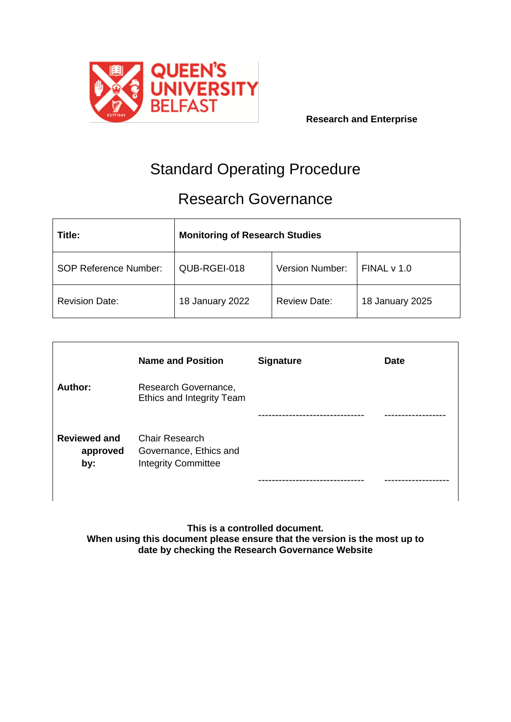

# Standard Operating Procedure

# Research Governance

| Title:                       | <b>Monitoring of Research Studies</b> |                        |                 |  |
|------------------------------|---------------------------------------|------------------------|-----------------|--|
| <b>SOP Reference Number:</b> | QUB-RGEI-018                          | <b>Version Number:</b> | FINALv1.0       |  |
| <b>Revision Date:</b>        | 18 January 2022                       | <b>Review Date:</b>    | 18 January 2025 |  |

|                                        | <b>Name and Position</b>                                               | <b>Signature</b>  | <b>Date</b> |
|----------------------------------------|------------------------------------------------------------------------|-------------------|-------------|
| Author:                                | Research Governance,<br>Ethics and Integrity Team                      |                   |             |
|                                        |                                                                        |                   |             |
| <b>Reviewed and</b><br>approved<br>by: | Chair Research<br>Governance, Ethics and<br><b>Integrity Committee</b> | ----------------- |             |

**This is a controlled document. When using this document please ensure that the version is the most up to date by checking the Research Governance Website**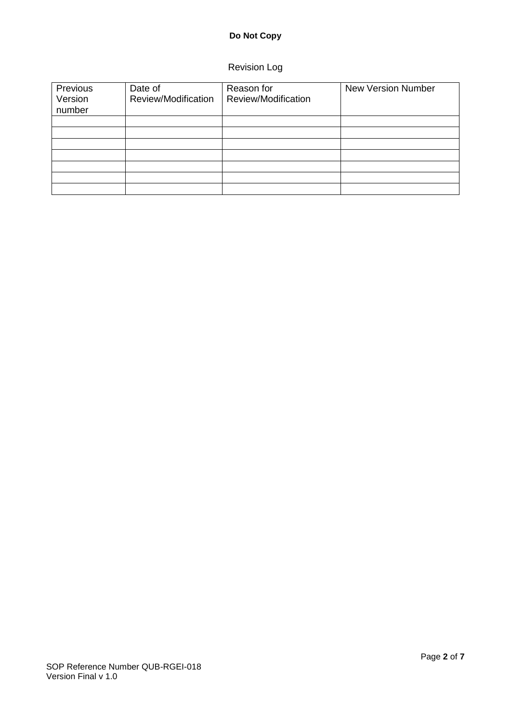# **Do Not Copy**

# Revision Log

| Previous<br>Version<br>number | Date of<br>Review/Modification | Reason for<br>Review/Modification | <b>New Version Number</b> |
|-------------------------------|--------------------------------|-----------------------------------|---------------------------|
|                               |                                |                                   |                           |
|                               |                                |                                   |                           |
|                               |                                |                                   |                           |
|                               |                                |                                   |                           |
|                               |                                |                                   |                           |
|                               |                                |                                   |                           |
|                               |                                |                                   |                           |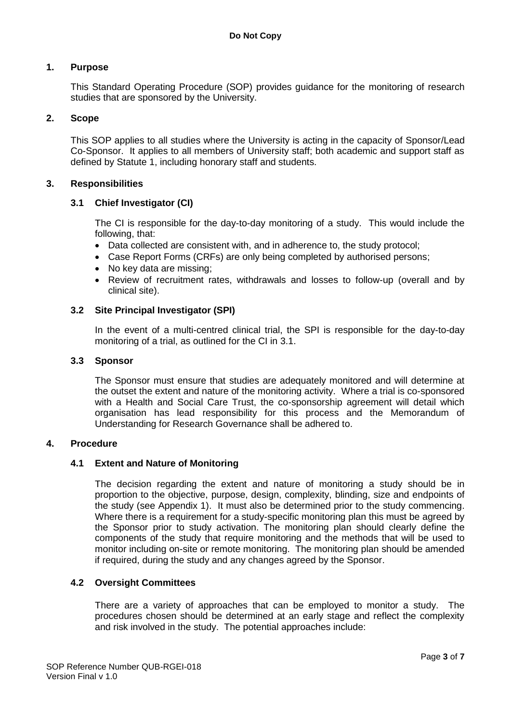## **1. Purpose**

This Standard Operating Procedure (SOP) provides guidance for the monitoring of research studies that are sponsored by the University.

#### **2. Scope**

This SOP applies to all studies where the University is acting in the capacity of Sponsor/Lead Co-Sponsor. It applies to all members of University staff; both academic and support staff as defined by Statute 1, including honorary staff and students.

#### **3. Responsibilities**

#### **3.1 Chief Investigator (CI)**

The CI is responsible for the day-to-day monitoring of a study. This would include the following, that:

- Data collected are consistent with, and in adherence to, the study protocol;
- Case Report Forms (CRFs) are only being completed by authorised persons;
- No key data are missing;
- Review of recruitment rates, withdrawals and losses to follow-up (overall and by clinical site).

#### **3.2 Site Principal Investigator (SPI)**

In the event of a multi-centred clinical trial, the SPI is responsible for the day-to-day monitoring of a trial, as outlined for the CI in 3.1.

#### **3.3 Sponsor**

The Sponsor must ensure that studies are adequately monitored and will determine at the outset the extent and nature of the monitoring activity. Where a trial is co-sponsored with a Health and Social Care Trust, the co-sponsorship agreement will detail which organisation has lead responsibility for this process and the Memorandum of Understanding for Research Governance shall be adhered to.

#### **4. Procedure**

#### **4.1 Extent and Nature of Monitoring**

The decision regarding the extent and nature of monitoring a study should be in proportion to the objective, purpose, design, complexity, blinding, size and endpoints of the study (see Appendix 1). It must also be determined prior to the study commencing. Where there is a requirement for a study-specific monitoring plan this must be agreed by the Sponsor prior to study activation. The monitoring plan should clearly define the components of the study that require monitoring and the methods that will be used to monitor including on-site or remote monitoring. The monitoring plan should be amended if required, during the study and any changes agreed by the Sponsor.

#### **4.2 Oversight Committees**

There are a variety of approaches that can be employed to monitor a study. The procedures chosen should be determined at an early stage and reflect the complexity and risk involved in the study. The potential approaches include: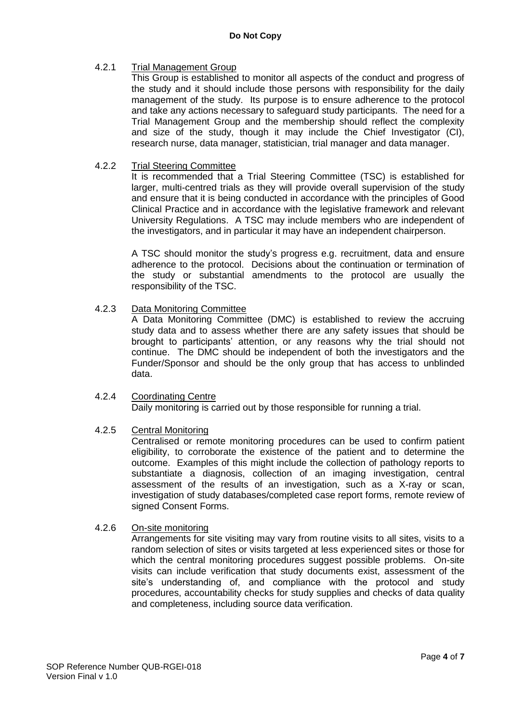### 4.2.1 Trial Management Group

This Group is established to monitor all aspects of the conduct and progress of the study and it should include those persons with responsibility for the daily management of the study. Its purpose is to ensure adherence to the protocol and take any actions necessary to safeguard study participants. The need for a Trial Management Group and the membership should reflect the complexity and size of the study, though it may include the Chief Investigator (CI), research nurse, data manager, statistician, trial manager and data manager.

#### 4.2.2 Trial Steering Committee

It is recommended that a Trial Steering Committee (TSC) is established for larger, multi-centred trials as they will provide overall supervision of the study and ensure that it is being conducted in accordance with the principles of Good Clinical Practice and in accordance with the legislative framework and relevant University Regulations. A TSC may include members who are independent of the investigators, and in particular it may have an independent chairperson.

A TSC should monitor the study's progress e.g. recruitment, data and ensure adherence to the protocol. Decisions about the continuation or termination of the study or substantial amendments to the protocol are usually the responsibility of the TSC.

#### 4.2.3 Data Monitoring Committee

A Data Monitoring Committee (DMC) is established to review the accruing study data and to assess whether there are any safety issues that should be brought to participants' attention, or any reasons why the trial should not continue. The DMC should be independent of both the investigators and the Funder/Sponsor and should be the only group that has access to unblinded data.

# 4.2.4 Coordinating Centre

Daily monitoring is carried out by those responsible for running a trial.

### 4.2.5 Central Monitoring

Centralised or remote monitoring procedures can be used to confirm patient eligibility, to corroborate the existence of the patient and to determine the outcome. Examples of this might include the collection of pathology reports to substantiate a diagnosis, collection of an imaging investigation, central assessment of the results of an investigation, such as a X-ray or scan, investigation of study databases/completed case report forms, remote review of signed Consent Forms.

### 4.2.6 On-site monitoring

Arrangements for site visiting may vary from routine visits to all sites, visits to a random selection of sites or visits targeted at less experienced sites or those for which the central monitoring procedures suggest possible problems. On-site visits can include verification that study documents exist, assessment of the site's understanding of, and compliance with the protocol and study procedures, accountability checks for study supplies and checks of data quality and completeness, including source data verification.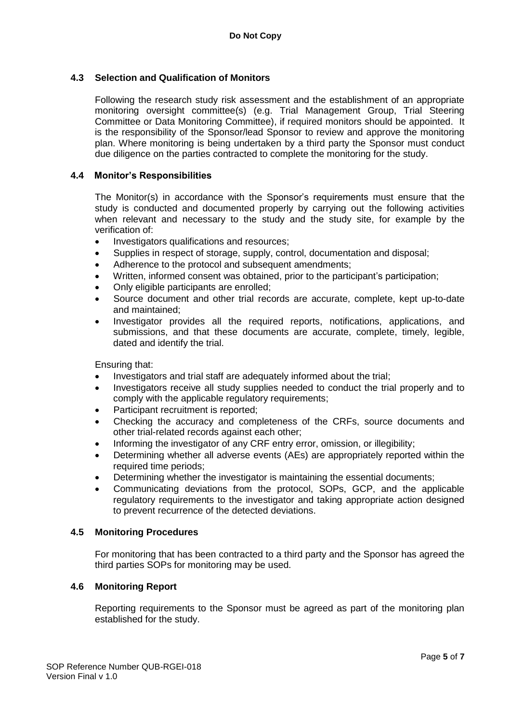## **4.3 Selection and Qualification of Monitors**

Following the research study risk assessment and the establishment of an appropriate monitoring oversight committee(s) (e.g. Trial Management Group, Trial Steering Committee or Data Monitoring Committee), if required monitors should be appointed. It is the responsibility of the Sponsor/lead Sponsor to review and approve the monitoring plan. Where monitoring is being undertaken by a third party the Sponsor must conduct due diligence on the parties contracted to complete the monitoring for the study.

### **4.4 Monitor's Responsibilities**

The Monitor(s) in accordance with the Sponsor's requirements must ensure that the study is conducted and documented properly by carrying out the following activities when relevant and necessary to the study and the study site, for example by the verification of:

- Investigators qualifications and resources;
- Supplies in respect of storage, supply, control, documentation and disposal;
- Adherence to the protocol and subsequent amendments;
- Written, informed consent was obtained, prior to the participant's participation;
- Only eligible participants are enrolled;
- Source document and other trial records are accurate, complete, kept up-to-date and maintained;
- Investigator provides all the required reports, notifications, applications, and submissions, and that these documents are accurate, complete, timely, legible, dated and identify the trial.

Ensuring that:

- Investigators and trial staff are adequately informed about the trial;
- Investigators receive all study supplies needed to conduct the trial properly and to comply with the applicable regulatory requirements;
- Participant recruitment is reported;
- Checking the accuracy and completeness of the CRFs, source documents and other trial-related records against each other;
- Informing the investigator of any CRF entry error, omission, or illegibility;
- Determining whether all adverse events (AEs) are appropriately reported within the required time periods;
- Determining whether the investigator is maintaining the essential documents;
- Communicating deviations from the protocol, SOPs, GCP, and the applicable regulatory requirements to the investigator and taking appropriate action designed to prevent recurrence of the detected deviations.

#### **4.5 Monitoring Procedures**

For monitoring that has been contracted to a third party and the Sponsor has agreed the third parties SOPs for monitoring may be used.

### **4.6 Monitoring Report**

Reporting requirements to the Sponsor must be agreed as part of the monitoring plan established for the study.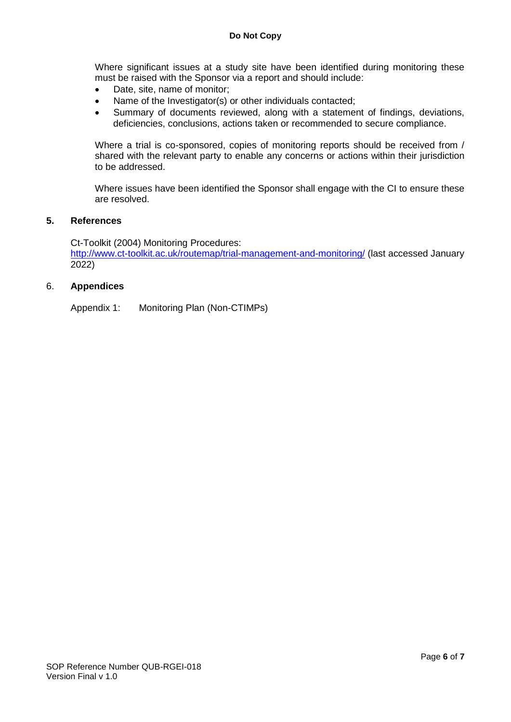Where significant issues at a study site have been identified during monitoring these must be raised with the Sponsor via a report and should include:

- Date, site, name of monitor;
- Name of the Investigator(s) or other individuals contacted;
- Summary of documents reviewed, along with a statement of findings, deviations, deficiencies, conclusions, actions taken or recommended to secure compliance.

Where a trial is co-sponsored, copies of monitoring reports should be received from / shared with the relevant party to enable any concerns or actions within their jurisdiction to be addressed.

Where issues have been identified the Sponsor shall engage with the CI to ensure these are resolved.

### **5. References**

Ct-Toolkit (2004) Monitoring Procedures: <http://www.ct-toolkit.ac.uk/routemap/trial-management-and-monitoring/> (last accessed January 2022)

#### 6. **Appendices**

Appendix 1: Monitoring Plan (Non-CTIMPs)